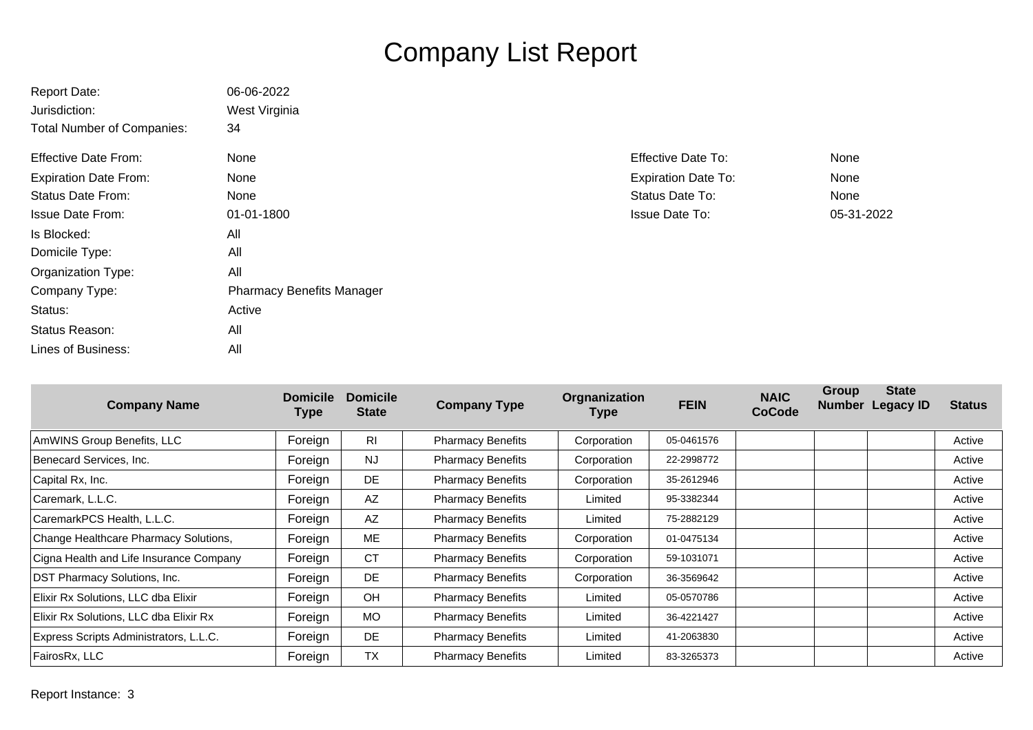## Company List Report

| <b>Report Date:</b>               | 06-06-2022                       |                            |            |
|-----------------------------------|----------------------------------|----------------------------|------------|
| Jurisdiction:                     | West Virginia                    |                            |            |
| <b>Total Number of Companies:</b> | 34                               |                            |            |
| <b>Effective Date From:</b>       | None                             | <b>Effective Date To:</b>  | None       |
| <b>Expiration Date From:</b>      | <b>None</b>                      | <b>Expiration Date To:</b> | None       |
| <b>Status Date From:</b>          | None                             | Status Date To:            | None       |
| <b>Issue Date From:</b>           | 01-01-1800                       | <b>Issue Date To:</b>      | 05-31-2022 |
| Is Blocked:                       | All                              |                            |            |
| Domicile Type:                    | All                              |                            |            |
| Organization Type:                | All                              |                            |            |
| Company Type:                     | <b>Pharmacy Benefits Manager</b> |                            |            |
| Status:                           | Active                           |                            |            |
| Status Reason:                    | All                              |                            |            |
| Lines of Business:                | All                              |                            |            |

| <b>Company Name</b>                     | <b>Domicile</b><br>Type | <b>Domicile</b><br><b>State</b> | <b>Company Type</b>      | <b>Orgnanization</b><br>Type | <b>FEIN</b> | <b>NAIC</b><br><b>CoCode</b> | <b>Group</b> | <b>State</b><br>Number Legacy ID | <b>Status</b> |
|-----------------------------------------|-------------------------|---------------------------------|--------------------------|------------------------------|-------------|------------------------------|--------------|----------------------------------|---------------|
| AmWINS Group Benefits, LLC              | Foreign                 | <b>RI</b>                       | <b>Pharmacy Benefits</b> | Corporation                  | 05-0461576  |                              |              |                                  | Active        |
| Benecard Services, Inc.                 | Foreign                 | <b>NJ</b>                       | <b>Pharmacy Benefits</b> | Corporation                  | 22-2998772  |                              |              |                                  | Active        |
| Capital Rx, Inc.                        | Foreign                 | DE                              | <b>Pharmacy Benefits</b> | Corporation                  | 35-2612946  |                              |              |                                  | Active        |
| Caremark, L.L.C.                        | Foreign                 | AZ                              | <b>Pharmacy Benefits</b> | Limited                      | 95-3382344  |                              |              |                                  | Active        |
| CaremarkPCS Health, L.L.C.              | Foreign                 | AZ                              | <b>Pharmacy Benefits</b> | Limited                      | 75-2882129  |                              |              |                                  | Active        |
| Change Healthcare Pharmacy Solutions,   | Foreign                 | ME                              | <b>Pharmacy Benefits</b> | Corporation                  | 01-0475134  |                              |              |                                  | Active        |
| Cigna Health and Life Insurance Company | Foreign                 | <b>CT</b>                       | <b>Pharmacy Benefits</b> | Corporation                  | 59-1031071  |                              |              |                                  | Active        |
| <b>DST Pharmacy Solutions, Inc.</b>     | Foreign                 | DE                              | <b>Pharmacy Benefits</b> | Corporation                  | 36-3569642  |                              |              |                                  | Active        |
| Elixir Rx Solutions, LLC dba Elixir     | Foreign                 | <b>OH</b>                       | <b>Pharmacy Benefits</b> | Limited                      | 05-0570786  |                              |              |                                  | Active        |
| Elixir Rx Solutions, LLC dba Elixir Rx  | Foreign                 | <b>MO</b>                       | <b>Pharmacy Benefits</b> | Limited                      | 36-4221427  |                              |              |                                  | Active        |
| Express Scripts Administrators, L.L.C.  | Foreign                 | DE                              | <b>Pharmacy Benefits</b> | Limited                      | 41-2063830  |                              |              |                                  | Active        |
| FairosRx, LLC                           | Foreign                 | <b>TX</b>                       | <b>Pharmacy Benefits</b> | Limited                      | 83-3265373  |                              |              |                                  | Active        |